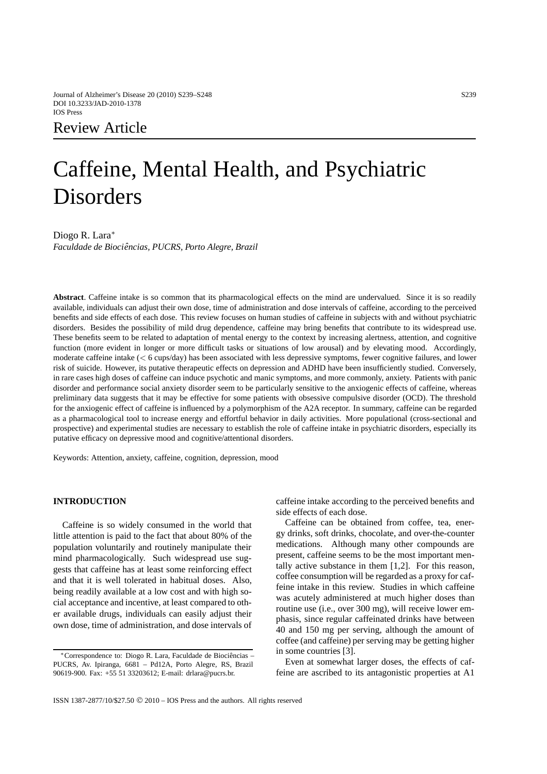# Review Article

# Caffeine, Mental Health, and Psychiatric **Disorders**

Diogo R. Lara∗

*Faculdade de Biociencias, PUCRS, Porto Alegre, Brazil ˆ*

**Abstract**. Caffeine intake is so common that its pharmacological effects on the mind are undervalued. Since it is so readily available, individuals can adjust their own dose, time of administration and dose intervals of caffeine, according to the perceived benefits and side effects of each dose. This review focuses on human studies of caffeine in subjects with and without psychiatric disorders. Besides the possibility of mild drug dependence, caffeine may bring benefits that contribute to its widespread use. These benefits seem to be related to adaptation of mental energy to the context by increasing alertness, attention, and cognitive function (more evident in longer or more difficult tasks or situations of low arousal) and by elevating mood. Accordingly, moderate caffeine intake (*<* 6 cups/day) has been associated with less depressive symptoms, fewer cognitive failures, and lower risk of suicide. However, its putative therapeutic effects on depression and ADHD have been insufficiently studied. Conversely, in rare cases high doses of caffeine can induce psychotic and manic symptoms, and more commonly, anxiety. Patients with panic disorder and performance social anxiety disorder seem to be particularly sensitive to the anxiogenic effects of caffeine, whereas preliminary data suggests that it may be effective for some patients with obsessive compulsive disorder (OCD). The threshold for the anxiogenic effect of caffeine is influenced by a polymorphism of the A2A receptor. In summary, caffeine can be regarded as a pharmacological tool to increase energy and effortful behavior in daily activities. More populational (cross-sectional and prospective) and experimental studies are necessary to establish the role of caffeine intake in psychiatric disorders, especially its putative efficacy on depressive mood and cognitive/attentional disorders.

Keywords: Attention, anxiety, caffeine, cognition, depression, mood

# **INTRODUCTION**

Caffeine is so widely consumed in the world that little attention is paid to the fact that about 80% of the population voluntarily and routinely manipulate their mind pharmacologically. Such widespread use suggests that caffeine has at least some reinforcing effect and that it is well tolerated in habitual doses. Also, being readily available at a low cost and with high social acceptance and incentive, at least compared to other available drugs, individuals can easily adjust their own dose, time of administration, and dose intervals of caffeine intake according to the perceived benefits and side effects of each dose.

Caffeine can be obtained from coffee, tea, energy drinks, soft drinks, chocolate, and over-the-counter medications. Although many other compounds are present, caffeine seems to be the most important mentally active substance in them [1,2]. For this reason, coffee consumption will be regarded as a proxy for caffeine intake in this review. Studies in which caffeine was acutely administered at much higher doses than routine use (i.e., over 300 mg), will receive lower emphasis, since regular caffeinated drinks have between 40 and 150 mg per serving, although the amount of coffee (and caffeine) per serving may be getting higher in some countries [3].

Even at somewhat larger doses, the effects of caffeine are ascribed to its antagonistic properties at A1

<sup>∗</sup>Correspondence to: Diogo R. Lara, Faculdade de Biociencia ˆ s – PUCRS, Av. Ipiranga, 6681 – Pd12A, Porto Alegre, RS, Brazil 90619-900. Fax: +55 51 33203612; E-mail: drlara@pucrs.br.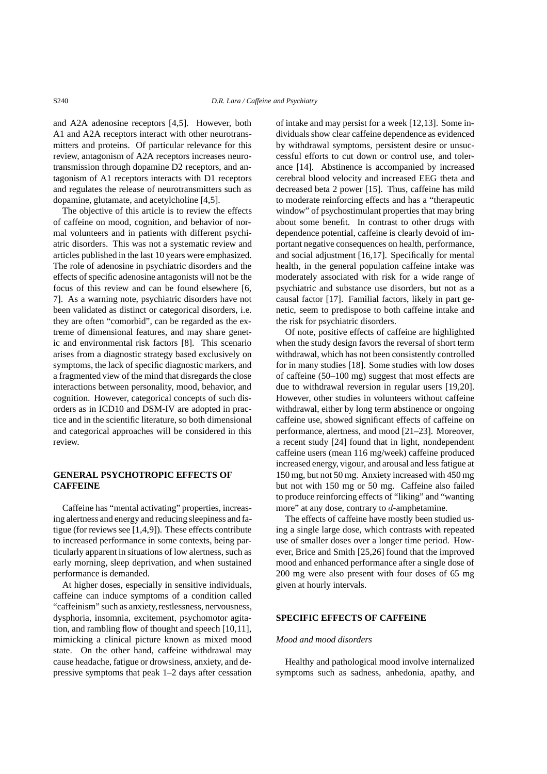and A2A adenosine receptors [4,5]. However, both A1 and A2A receptors interact with other neurotransmitters and proteins. Of particular relevance for this review, antagonism of A2A receptors increases neurotransmission through dopamine D2 receptors, and antagonism of A1 receptors interacts with D1 receptors and regulates the release of neurotransmitters such as dopamine, glutamate, and acetylcholine [4,5].

The objective of this article is to review the effects of caffeine on mood, cognition, and behavior of normal volunteers and in patients with different psychiatric disorders. This was not a systematic review and articles published in the last 10 years were emphasized. The role of adenosine in psychiatric disorders and the effects of specific adenosine antagonists will not be the focus of this review and can be found elsewhere [6, 7]. As a warning note, psychiatric disorders have not been validated as distinct or categorical disorders, i.e. they are often "comorbid", can be regarded as the extreme of dimensional features, and may share genetic and environmental risk factors [8]. This scenario arises from a diagnostic strategy based exclusively on symptoms, the lack of specific diagnostic markers, and a fragmented view of the mind that disregards the close interactions between personality, mood, behavior, and cognition. However, categorical concepts of such disorders as in ICD10 and DSM-IV are adopted in practice and in the scientific literature, so both dimensional and categorical approaches will be considered in this review.

# **GENERAL PSYCHOTROPIC EFFECTS OF CAFFEINE**

Caffeine has "mental activating" properties, increasing alertness and energy and reducing sleepiness and fatigue (for reviews see [1,4,9]). These effects contribute to increased performance in some contexts, being particularly apparent in situations of low alertness, such as early morning, sleep deprivation, and when sustained performance is demanded.

At higher doses, especially in sensitive individuals, caffeine can induce symptoms of a condition called "caffeinism" such as anxiety,restlessness, nervousness, dysphoria, insomnia, excitement, psychomotor agitation, and rambling flow of thought and speech [10,11], mimicking a clinical picture known as mixed mood state. On the other hand, caffeine withdrawal may cause headache, fatigue or drowsiness, anxiety, and depressive symptoms that peak 1–2 days after cessation

of intake and may persist for a week [12,13]. Some individuals show clear caffeine dependence as evidenced by withdrawal symptoms, persistent desire or unsuccessful efforts to cut down or control use, and tolerance [14]. Abstinence is accompanied by increased cerebral blood velocity and increased EEG theta and decreased beta 2 power [15]. Thus, caffeine has mild to moderate reinforcing effects and has a "therapeutic window" of psychostimulant properties that may bring about some benefit. In contrast to other drugs with dependence potential, caffeine is clearly devoid of important negative consequences on health, performance, and social adjustment [16,17]. Specifically for mental health, in the general population caffeine intake was moderately associated with risk for a wide range of psychiatric and substance use disorders, but not as a causal factor [17]. Familial factors, likely in part genetic, seem to predispose to both caffeine intake and the risk for psychiatric disorders.

Of note, positive effects of caffeine are highlighted when the study design favors the reversal of short term withdrawal, which has not been consistently controlled for in many studies [18]. Some studies with low doses of caffeine (50–100 mg) suggest that most effects are due to withdrawal reversion in regular users [19,20]. However, other studies in volunteers without caffeine withdrawal, either by long term abstinence or ongoing caffeine use, showed significant effects of caffeine on performance, alertness, and mood [21–23]. Moreover, a recent study [24] found that in light, nondependent caffeine users (mean 116 mg/week) caffeine produced increased energy, vigour, and arousal and less fatigue at 150 mg, but not 50 mg. Anxiety increased with 450 mg but not with 150 mg or 50 mg. Caffeine also failed to produce reinforcing effects of "liking" and "wanting more" at any dose, contrary to *d*-amphetamine.

The effects of caffeine have mostly been studied using a single large dose, which contrasts with repeated use of smaller doses over a longer time period. However, Brice and Smith [25,26] found that the improved mood and enhanced performance after a single dose of 200 mg were also present with four doses of 65 mg given at hourly intervals.

#### **SPECIFIC EFFECTS OF CAFFEINE**

#### *Mood and mood disorders*

Healthy and pathological mood involve internalized symptoms such as sadness, anhedonia, apathy, and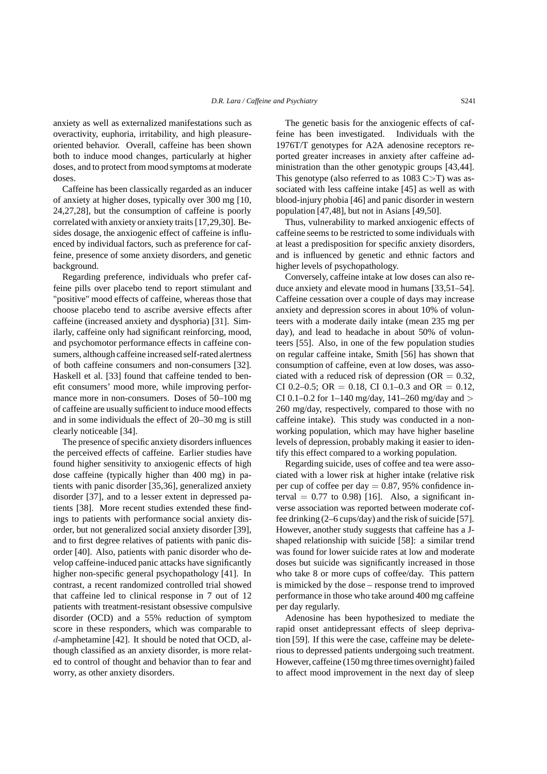anxiety as well as externalized manifestations such as overactivity, euphoria, irritability, and high pleasureoriented behavior. Overall, caffeine has been shown both to induce mood changes, particularly at higher doses, and to protect from mood symptoms at moderate doses.

Caffeine has been classically regarded as an inducer of anxiety at higher doses, typically over 300 mg [10, 24,27,28], but the consumption of caffeine is poorly correlated with anxiety or anxiety traits [17,29,30]. Besides dosage, the anxiogenic effect of caffeine is influenced by individual factors, such as preference for caffeine, presence of some anxiety disorders, and genetic background.

Regarding preference, individuals who prefer caffeine pills over placebo tend to report stimulant and "positive" mood effects of caffeine, whereas those that choose placebo tend to ascribe aversive effects after caffeine (increased anxiety and dysphoria) [31]. Similarly, caffeine only had significant reinforcing, mood, and psychomotor performance effects in caffeine consumers, although caffeine increased self-rated alertness of both caffeine consumers and non-consumers [32]. Haskell et al. [33] found that caffeine tended to benefit consumers' mood more, while improving performance more in non-consumers. Doses of 50–100 mg of caffeine are usually sufficient to induce mood effects and in some individuals the effect of 20–30 mg is still clearly noticeable [34].

The presence of specific anxiety disorders influences the perceived effects of caffeine. Earlier studies have found higher sensitivity to anxiogenic effects of high dose caffeine (typically higher than 400 mg) in patients with panic disorder [35,36], generalized anxiety disorder [37], and to a lesser extent in depressed patients [38]. More recent studies extended these findings to patients with performance social anxiety disorder, but not generalized social anxiety disorder [39], and to first degree relatives of patients with panic disorder [40]. Also, patients with panic disorder who develop caffeine-induced panic attacks have significantly higher non-specific general psychopathology [41]. In contrast, a recent randomized controlled trial showed that caffeine led to clinical response in 7 out of 12 patients with treatment-resistant obsessive compulsive disorder (OCD) and a 55% reduction of symptom score in these responders, which was comparable to *d*-amphetamine [42]. It should be noted that OCD, although classified as an anxiety disorder, is more related to control of thought and behavior than to fear and worry, as other anxiety disorders.

The genetic basis for the anxiogenic effects of caffeine has been investigated. Individuals with the 1976T/T genotypes for A2A adenosine receptors reported greater increases in anxiety after caffeine administration than the other genotypic groups [43,44]. This genotype (also referred to as 1083 C*>*T) was associated with less caffeine intake [45] as well as with blood-injury phobia [46] and panic disorder in western population [47,48], but not in Asians [49,50].

Thus, vulnerability to marked anxiogenic effects of caffeine seems to be restricted to some individuals with at least a predisposition for specific anxiety disorders, and is influenced by genetic and ethnic factors and higher levels of psychopathology.

Conversely, caffeine intake at low doses can also reduce anxiety and elevate mood in humans [33,51–54]. Caffeine cessation over a couple of days may increase anxiety and depression scores in about 10% of volunteers with a moderate daily intake (mean 235 mg per day), and lead to headache in about 50% of volunteers [55]. Also, in one of the few population studies on regular caffeine intake, Smith [56] has shown that consumption of caffeine, even at low doses, was associated with a reduced risk of depression ( $OR = 0.32$ , CI 0.2–0.5; OR = 0.18, CI 0.1–0.3 and OR = 0.12, CI 0.1–0.2 for 1–140 mg/day, 141–260 mg/day and *>* 260 mg/day, respectively, compared to those with no caffeine intake). This study was conducted in a nonworking population, which may have higher baseline levels of depression, probably making it easier to identify this effect compared to a working population.

Regarding suicide, uses of coffee and tea were associated with a lower risk at higher intake (relative risk per cup of coffee per day  $= 0.87, 95\%$  confidence interval  $= 0.77$  to 0.98) [16]. Also, a significant inverse association was reported between moderate coffee drinking (2–6 cups/day) and the risk of suicide [57]. However, another study suggests that caffeine has a Jshaped relationship with suicide [58]: a similar trend was found for lower suicide rates at low and moderate doses but suicide was significantly increased in those who take 8 or more cups of coffee/day. This pattern is mimicked by the dose – response trend to improved performance in those who take around 400 mg caffeine per day regularly.

Adenosine has been hypothesized to mediate the rapid onset antidepressant effects of sleep deprivation [59]. If this were the case, caffeine may be deleterious to depressed patients undergoing such treatment. However, caffeine (150 mg three times overnight) failed to affect mood improvement in the next day of sleep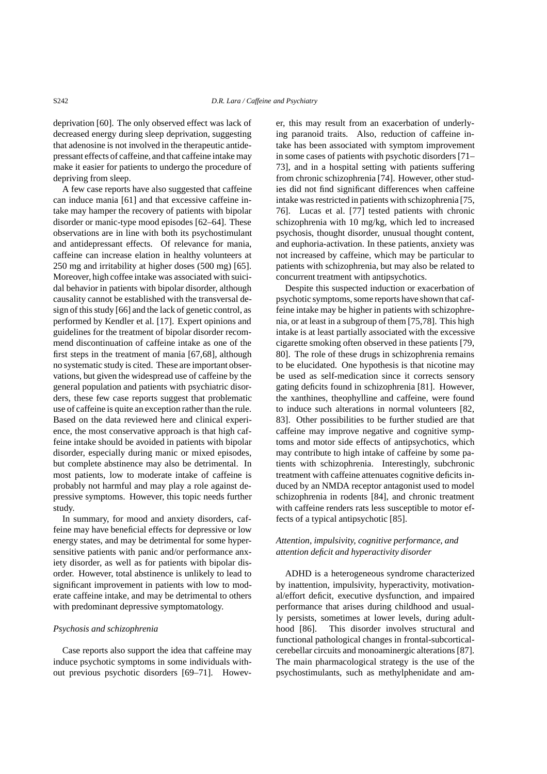deprivation [60]. The only observed effect was lack of decreased energy during sleep deprivation, suggesting that adenosine is not involved in the therapeutic antidepressant effects of caffeine,and that caffeine intake may make it easier for patients to undergo the procedure of depriving from sleep.

A few case reports have also suggested that caffeine can induce mania [61] and that excessive caffeine intake may hamper the recovery of patients with bipolar disorder or manic-type mood episodes [62–64]. These observations are in line with both its psychostimulant and antidepressant effects. Of relevance for mania, caffeine can increase elation in healthy volunteers at 250 mg and irritability at higher doses (500 mg) [65]. Moreover, high coffee intake was associated with suicidal behavior in patients with bipolar disorder, although causality cannot be established with the transversal design of this study [66] and the lack of genetic control, as performed by Kendler et al. [17]. Expert opinions and guidelines for the treatment of bipolar disorder recommend discontinuation of caffeine intake as one of the first steps in the treatment of mania [67,68], although no systematic study is cited. These are important observations, but given the widespread use of caffeine by the general population and patients with psychiatric disorders, these few case reports suggest that problematic use of caffeine is quite an exception rather than the rule. Based on the data reviewed here and clinical experience, the most conservative approach is that high caffeine intake should be avoided in patients with bipolar disorder, especially during manic or mixed episodes, but complete abstinence may also be detrimental. In most patients, low to moderate intake of caffeine is probably not harmful and may play a role against depressive symptoms. However, this topic needs further study.

In summary, for mood and anxiety disorders, caffeine may have beneficial effects for depressive or low energy states, and may be detrimental for some hypersensitive patients with panic and/or performance anxiety disorder, as well as for patients with bipolar disorder. However, total abstinence is unlikely to lead to significant improvement in patients with low to moderate caffeine intake, and may be detrimental to others with predominant depressive symptomatology.

#### *Psychosis and schizophrenia*

Case reports also support the idea that caffeine may induce psychotic symptoms in some individuals without previous psychotic disorders [69–71]. However, this may result from an exacerbation of underlying paranoid traits. Also, reduction of caffeine intake has been associated with symptom improvement in some cases of patients with psychotic disorders [71– 73], and in a hospital setting with patients suffering from chronic schizophrenia [74]. However, other studies did not find significant differences when caffeine intake was restricted in patients with schizophrenia [75, 76]. Lucas et al. [77] tested patients with chronic schizophrenia with 10 mg/kg, which led to increased psychosis, thought disorder, unusual thought content, and euphoria-activation. In these patients, anxiety was not increased by caffeine, which may be particular to patients with schizophrenia, but may also be related to concurrent treatment with antipsychotics.

Despite this suspected induction or exacerbation of psychotic symptoms, some reports have shown that caffeine intake may be higher in patients with schizophrenia, or at least in a subgroup of them [75,78]. This high intake is at least partially associated with the excessive cigarette smoking often observed in these patients [79, 80]. The role of these drugs in schizophrenia remains to be elucidated. One hypothesis is that nicotine may be used as self-medication since it corrects sensory gating deficits found in schizophrenia [81]. However, the xanthines, theophylline and caffeine, were found to induce such alterations in normal volunteers [82, 83]. Other possibilities to be further studied are that caffeine may improve negative and cognitive symptoms and motor side effects of antipsychotics, which may contribute to high intake of caffeine by some patients with schizophrenia. Interestingly, subchronic treatment with caffeine attenuates cognitive deficits induced by an NMDA receptor antagonist used to model schizophrenia in rodents [84], and chronic treatment with caffeine renders rats less susceptible to motor effects of a typical antipsychotic [85].

## *Attention, impulsivity, cognitive performance, and attention deficit and hyperactivity disorder*

ADHD is a heterogeneous syndrome characterized by inattention, impulsivity, hyperactivity, motivational/effort deficit, executive dysfunction, and impaired performance that arises during childhood and usually persists, sometimes at lower levels, during adulthood [86]. This disorder involves structural and functional pathological changes in frontal-subcorticalcerebellar circuits and monoaminergic alterations [87]. The main pharmacological strategy is the use of the psychostimulants, such as methylphenidate and am-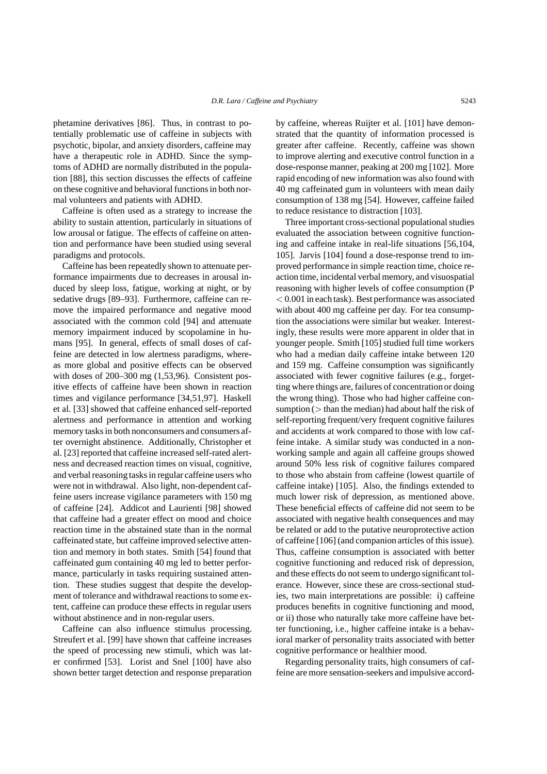phetamine derivatives [86]. Thus, in contrast to potentially problematic use of caffeine in subjects with psychotic, bipolar, and anxiety disorders, caffeine may have a therapeutic role in ADHD. Since the symptoms of ADHD are normally distributed in the population [88], this section discusses the effects of caffeine on these cognitive and behavioral functions in both normal volunteers and patients with ADHD.

Caffeine is often used as a strategy to increase the ability to sustain attention, particularly in situations of low arousal or fatigue. The effects of caffeine on attention and performance have been studied using several paradigms and protocols.

Caffeine has been repeatedly shown to attenuate performance impairments due to decreases in arousal induced by sleep loss, fatigue, working at night, or by sedative drugs [89–93]. Furthermore, caffeine can remove the impaired performance and negative mood associated with the common cold [94] and attenuate memory impairment induced by scopolamine in humans [95]. In general, effects of small doses of caffeine are detected in low alertness paradigms, whereas more global and positive effects can be observed with doses of 200–300 mg (1,53,96). Consistent positive effects of caffeine have been shown in reaction times and vigilance performance [34,51,97]. Haskell et al. [33] showed that caffeine enhanced self-reported alertness and performance in attention and working memory tasks in both nonconsumers and consumers after overnight abstinence. Additionally, Christopher et al. [23] reported that caffeine increased self-rated alertness and decreased reaction times on visual, cognitive, and verbal reasoning tasks in regular caffeine users who were not in withdrawal. Also light, non-dependent caffeine users increase vigilance parameters with 150 mg of caffeine [24]. Addicot and Laurienti [98] showed that caffeine had a greater effect on mood and choice reaction time in the abstained state than in the normal caffeinated state, but caffeine improved selective attention and memory in both states. Smith [54] found that caffeinated gum containing 40 mg led to better performance, particularly in tasks requiring sustained attention. These studies suggest that despite the development of tolerance and withdrawal reactions to some extent, caffeine can produce these effects in regular users without abstinence and in non-regular users.

Caffeine can also influence stimulus processing. Streufert et al. [99] have shown that caffeine increases the speed of processing new stimuli, which was later confirmed [53]. Lorist and Snel [100] have also shown better target detection and response preparation by caffeine, whereas Ruijter et al. [101] have demonstrated that the quantity of information processed is greater after caffeine. Recently, caffeine was shown to improve alerting and executive control function in a dose-response manner, peaking at 200 mg [102]. More rapid encoding of new information was also found with 40 mg caffeinated gum in volunteers with mean daily consumption of 138 mg [54]. However, caffeine failed to reduce resistance to distraction [103].

Three important cross-sectional populational studies evaluated the association between cognitive functioning and caffeine intake in real-life situations [56,104, 105]. Jarvis [104] found a dose-response trend to improved performance in simple reaction time, choice reaction time, incidental verbal memory, and visuospatial reasoning with higher levels of coffee consumption (P *<* 0.001 in each task). Best performance was associated with about 400 mg caffeine per day. For tea consumption the associations were similar but weaker. Interestingly, these results were more apparent in older that in younger people. Smith [105] studied full time workers who had a median daily caffeine intake between 120 and 159 mg. Caffeine consumption was significantly associated with fewer cognitive failures (e.g., forgetting where things are, failures of concentration or doing the wrong thing). Those who had higher caffeine consumption (*>* than the median) had about half the risk of self-reporting frequent/very frequent cognitive failures and accidents at work compared to those with low caffeine intake. A similar study was conducted in a nonworking sample and again all caffeine groups showed around 50% less risk of cognitive failures compared to those who abstain from caffeine (lowest quartile of caffeine intake) [105]. Also, the findings extended to much lower risk of depression, as mentioned above. These beneficial effects of caffeine did not seem to be associated with negative health consequences and may be related or add to the putative neuroprotective action of caffeine [106] (and companion articles of this issue). Thus, caffeine consumption is associated with better cognitive functioning and reduced risk of depression, and these effects do not seem to undergo significant tolerance. However, since these are cross-sectional studies, two main interpretations are possible: i) caffeine produces benefits in cognitive functioning and mood, or ii) those who naturally take more caffeine have better functioning, i.e., higher caffeine intake is a behavioral marker of personality traits associated with better cognitive performance or healthier mood.

Regarding personality traits, high consumers of caffeine are more sensation-seekers and impulsive accord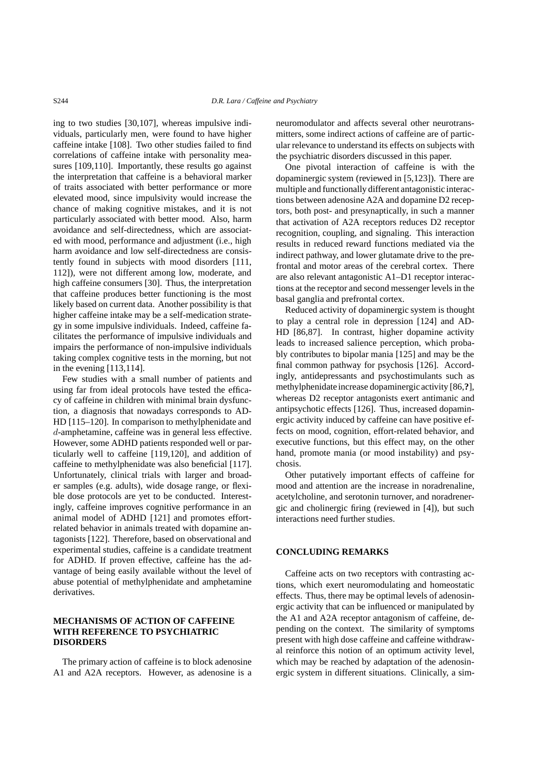ing to two studies [30,107], whereas impulsive individuals, particularly men, were found to have higher caffeine intake [108]. Two other studies failed to find correlations of caffeine intake with personality measures [109,110]. Importantly, these results go against the interpretation that caffeine is a behavioral marker of traits associated with better performance or more elevated mood, since impulsivity would increase the chance of making cognitive mistakes, and it is not particularly associated with better mood. Also, harm avoidance and self-directedness, which are associated with mood, performance and adjustment (i.e., high harm avoidance and low self-directedness are consistently found in subjects with mood disorders [111, 112]), were not different among low, moderate, and high caffeine consumers [30]. Thus, the interpretation that caffeine produces better functioning is the most likely based on current data. Another possibility is that higher caffeine intake may be a self-medication strategy in some impulsive individuals. Indeed, caffeine facilitates the performance of impulsive individuals and impairs the performance of non-impulsive individuals taking complex cognitive tests in the morning, but not in the evening [113,114].

Few studies with a small number of patients and using far from ideal protocols have tested the efficacy of caffeine in children with minimal brain dysfunction, a diagnosis that nowadays corresponds to AD-HD [115–120]. In comparison to methylphenidate and *d*-amphetamine, caffeine was in general less effective. However, some ADHD patients responded well or particularly well to caffeine [119,120], and addition of caffeine to methylphenidate was also beneficial [117]. Unfortunately, clinical trials with larger and broader samples (e.g. adults), wide dosage range, or flexible dose protocols are yet to be conducted. Interestingly, caffeine improves cognitive performance in an animal model of ADHD [121] and promotes effortrelated behavior in animals treated with dopamine antagonists [122]. Therefore, based on observational and experimental studies, caffeine is a candidate treatment for ADHD. If proven effective, caffeine has the advantage of being easily available without the level of abuse potential of methylphenidate and amphetamine derivatives.

# **MECHANISMS OF ACTION OF CAFFEINE WITH REFERENCE TO PSYCHIATRIC DISORDERS**

The primary action of caffeine is to block adenosine A1 and A2A receptors. However, as adenosine is a neuromodulator and affects several other neurotransmitters, some indirect actions of caffeine are of particular relevance to understand its effects on subjects with the psychiatric disorders discussed in this paper.

One pivotal interaction of caffeine is with the dopaminergic system (reviewed in [5,123]). There are multiple and functionally different antagonistic interactions between adenosine A2A and dopamine D2 receptors, both post- and presynaptically, in such a manner that activation of A2A receptors reduces D2 receptor recognition, coupling, and signaling. This interaction results in reduced reward functions mediated via the indirect pathway, and lower glutamate drive to the prefrontal and motor areas of the cerebral cortex. There are also relevant antagonistic A1–D1 receptor interactions at the receptor and second messenger levels in the basal ganglia and prefrontal cortex.

Reduced activity of dopaminergic system is thought to play a central role in depression [124] and AD-HD [86,87]. In contrast, higher dopamine activity leads to increased salience perception, which probably contributes to bipolar mania [125] and may be the final common pathway for psychosis [126]. Accordingly, antidepressants and psychostimulants such as methylphenidate increase dopaminergic activity [86,?], whereas D2 receptor antagonists exert antimanic and antipsychotic effects [126]. Thus, increased dopaminergic activity induced by caffeine can have positive effects on mood, cognition, effort-related behavior, and executive functions, but this effect may, on the other hand, promote mania (or mood instability) and psychosis.

Other putatively important effects of caffeine for mood and attention are the increase in noradrenaline, acetylcholine, and serotonin turnover, and noradrenergic and cholinergic firing (reviewed in [4]), but such interactions need further studies.

#### **CONCLUDING REMARKS**

Caffeine acts on two receptors with contrasting actions, which exert neuromodulating and homeostatic effects. Thus, there may be optimal levels of adenosinergic activity that can be influenced or manipulated by the A1 and A2A receptor antagonism of caffeine, depending on the context. The similarity of symptoms present with high dose caffeine and caffeine withdrawal reinforce this notion of an optimum activity level, which may be reached by adaptation of the adenosinergic system in different situations. Clinically, a sim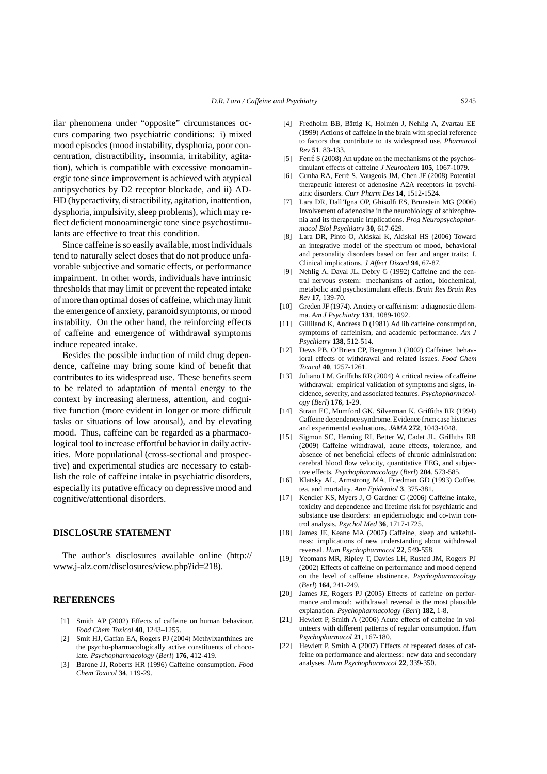ilar phenomena under "opposite" circumstances occurs comparing two psychiatric conditions: i) mixed mood episodes (mood instability, dysphoria, poor concentration, distractibility, insomnia, irritability, agitation), which is compatible with excessive monoaminergic tone since improvement is achieved with atypical antipsychotics by D2 receptor blockade, and ii) AD-HD (hyperactivity, distractibility, agitation, inattention, dysphoria, impulsivity, sleep problems), which may reflect deficient monoaminergic tone since psychostimulants are effective to treat this condition.

Since caffeine is so easily available, most individuals tend to naturally select doses that do not produce unfavorable subjective and somatic effects, or performance impairment. In other words, individuals have intrinsic thresholds that may limit or prevent the repeated intake of more than optimal doses of caffeine, which may limit the emergence of anxiety, paranoid symptoms, or mood instability. On the other hand, the reinforcing effects of caffeine and emergence of withdrawal symptoms induce repeated intake.

Besides the possible induction of mild drug dependence, caffeine may bring some kind of benefit that contributes to its widespread use. These benefits seem to be related to adaptation of mental energy to the context by increasing alertness, attention, and cognitive function (more evident in longer or more difficult tasks or situations of low arousal), and by elevating mood. Thus, caffeine can be regarded as a pharmacological tool to increase effortful behavior in daily activities. More populational (cross-sectional and prospective) and experimental studies are necessary to establish the role of caffeine intake in psychiatric disorders, especially its putative efficacy on depressive mood and cognitive/attentional disorders.

### **DISCLOSURE STATEMENT**

The author's disclosures available online (http:// www.j-alz.com/disclosures/view.php?id=218).

#### **REFERENCES**

- [1] Smith AP (2002) Effects of caffeine on human behaviour. *Food Chem Toxicol* **40**, 1243–1255.
- [2] Smit HJ, Gaffan EA, Rogers PJ (2004) Methylxanthines are the psycho-pharmacologically active constituents of chocolate. *Psychopharmacology* (*Berl*) **176**, 412-419.
- [3] Barone JJ, Roberts HR (1996) Caffeine consumption. *Food Chem Toxicol* **34**, 119-29.
- [4] Fredholm BB, Bättig K, Holmén J, Nehlig A, Zvartau EE (1999) Actions of caffeine in the brain with special reference to factors that contribute to its widespread use. *Pharmacol Rev* **51**, 83-133.
- [5] Ferré S (2008) An update on the mechanisms of the psychostimulant effects of caffeine *J Neurochem* **105**, 1067-1079.
- [6] Cunha RA, Ferré S, Vaugeois JM, Chen JF (2008) Potential therapeutic interest of adenosine A2A receptors in psychiatric disorders. *Curr Pharm Des* **14**, 1512-1524.
- [7] Lara DR, Dall'Igna OP, Ghisolfi ES, Brunstein MG (2006) Involvement of adenosine in the neurobiology of schizophrenia and its therapeutic implications. *Prog Neuropsychopharmacol Biol Psychiatry* **30**, 617-629.
- [8] Lara DR, Pinto O, Akiskal K, Akiskal HS (2006) Toward an integrative model of the spectrum of mood, behavioral and personality disorders based on fear and anger traits: I. Clinical implications. *J Affect Disord* **94**, 67-87.
- [9] Nehlig A, Daval JL, Debry G (1992) Caffeine and the central nervous system: mechanisms of action, biochemical, metabolic and psychostimulant effects. *Brain Res Brain Res Rev* **17**, 139-70.
- [10] Greden JF (1974). Anxiety or caffeinism: a diagnostic dilemma. *Am J Psychiatry* **131**, 1089-1092.
- [11] Gilliland K, Andress D (1981) Ad lib caffeine consumption, symptoms of caffeinism, and academic performance. *Am J Psychiatry* **138**, 512-514.
- [12] Dews PB, O'Brien CP, Bergman J (2002) Caffeine: behavioral effects of withdrawal and related issues. *Food Chem Toxicol* **40**, 1257-1261.
- [13] Juliano LM, Griffiths RR (2004) A critical review of caffeine withdrawal: empirical validation of symptoms and signs, incidence, severity, and associated features. *Psychopharmacology* (*Berl*) **176**, 1-29.
- [14] Strain EC, Mumford GK, Silverman K, Griffiths RR (1994) Caffeine dependence syndrome. Evidence from case histories and experimental evaluations. *JAMA* **272**, 1043-1048.
- [15] Sigmon SC, Herning RI, Better W, Cadet JL, Griffiths RR (2009) Caffeine withdrawal, acute effects, tolerance, and absence of net beneficial effects of chronic administration: cerebral blood flow velocity, quantitative EEG, and subjective effects. *Psychopharmacology* (*Berl*) **204**, 573-585.
- [16] Klatsky AL, Armstrong MA, Friedman GD (1993) Coffee, tea, and mortality. *Ann Epidemiol* **3**, 375-381.
- [17] Kendler KS, Myers J, O Gardner C (2006) Caffeine intake, toxicity and dependence and lifetime risk for psychiatric and substance use disorders: an epidemiologic and co-twin control analysis. *Psychol Med* **36**, 1717-1725.
- [18] James JE, Keane MA (2007) Caffeine, sleep and wakefulness: implications of new understanding about withdrawal reversal. *Hum Psychopharmacol* **22**, 549-558.
- [19] Yeomans MR, Ripley T, Davies LH, Rusted JM, Rogers PJ (2002) Effects of caffeine on performance and mood depend on the level of caffeine abstinence. *Psychopharmacology* (*Berl*) **164**, 241-249.
- [20] James JE, Rogers PJ (2005) Effects of caffeine on performance and mood: withdrawal reversal is the most plausible explanation. *Psychopharmacology* (*Berl*) **182**, 1-8.
- [21] Hewlett P, Smith A (2006) Acute effects of caffeine in volunteers with different patterns of regular consumption. *Hum Psychopharmacol* **21**, 167-180.
- [22] Hewlett P, Smith A (2007) Effects of repeated doses of caffeine on performance and alertness: new data and secondary analyses. *Hum Psychopharmacol* **22**, 339-350.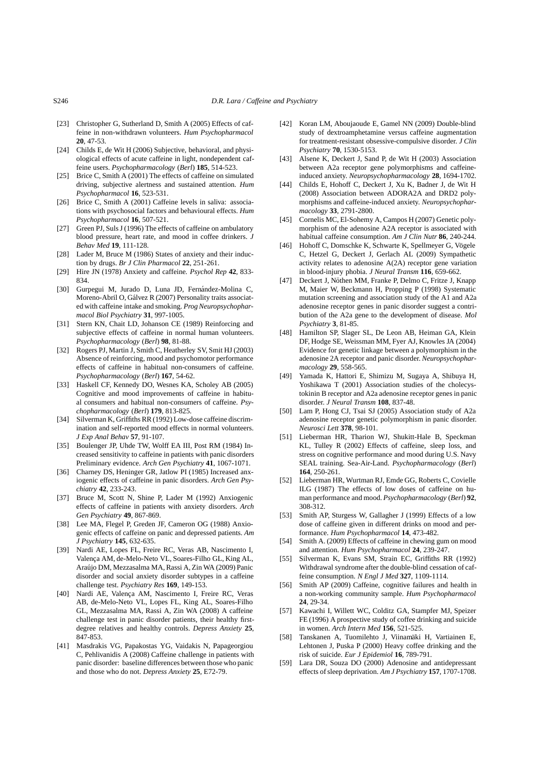- S246 *D.R. Lara / Caffeine and Psychiatry*
- [23] Christopher G, Sutherland D, Smith A (2005) Effects of caffeine in non-withdrawn volunteers. *Hum Psychopharmacol* **20**, 47-53.
- [24] Childs E, de Wit H (2006) Subjective, behavioral, and physiological effects of acute caffeine in light, nondependent caffeine users. *Psychopharmacology* (*Berl*) **185**, 514-523.
- [25] Brice C, Smith A (2001) The effects of caffeine on simulated driving, subjective alertness and sustained attention. *Hum Psychopharmacol* **16**, 523-531.
- [26] Brice C, Smith A (2001) Caffeine levels in saliva: associations with psychosocial factors and behavioural effects. *Hum Psychopharmacol* **16**, 507-521.
- [27] Green PJ, Suls J (1996) The effects of caffeine on ambulatory blood pressure, heart rate, and mood in coffee drinkers. *J Behav Med* **19**, 111-128.
- [28] Lader M, Bruce M (1986) States of anxiety and their induction by drugs. *Br J Clin Pharmacol* **22**, 251-261.
- [29] Hire JN (1978) Anxiety and caffeine*. Psychol Rep* **42**, 833- 834.
- [30] Gurpegui M, Jurado D, Luna JD, Fernández-Molina C, Moreno-Abril O, Gálvez R (2007) Personality traits associated with caffeine intake and smoking. *Prog Neuropsychopharmacol Biol Psychiatry* **31**, 997-1005.
- [31] Stern KN, Chait LD, Johanson CE (1989) Reinforcing and subjective effects of caffeine in normal human volunteers. *Psychopharmacology* (*Berl*) **98**, 81-88.
- [32] Rogers PJ, Martin J, Smith C, Heatherley SV, Smit HJ (2003) Absence of reinforcing, mood and psychomotor performance effects of caffeine in habitual non-consumers of caffeine. *Psychopharmacology* (*Berl*) **167**, 54-62.
- [33] Haskell CF, Kennedy DO, Wesnes KA, Scholey AB (2005) Cognitive and mood improvements of caffeine in habitual consumers and habitual non-consumers of caffeine. *Psychopharmacology* (*Berl*) **179**, 813-825.
- [34] Silverman K, Griffiths RR (1992) Low-dose caffeine discrimination and self-reported mood effects in normal volunteers. *J Exp Anal Behav* **57**, 91-107.
- [35] Boulenger JP, Uhde TW, Wolff EA III, Post RM (1984) Increased sensitivity to caffeine in patients with panic disorders Preliminary evidence. *Arch Gen Psychiatry* **41**, 1067-1071.
- [36] Charney DS, Heninger GR, Jatlow PI (1985) Increased anxiogenic effects of caffeine in panic disorders. *Arch Gen Psychiatry* **42**, 233-243.
- [37] Bruce M, Scott N, Shine P, Lader M (1992) Anxiogenic effects of caffeine in patients with anxiety disorders. *Arch Gen Psychiatry* **49**, 867-869.
- [38] Lee MA, Flegel P, Greden JF, Cameron OG (1988) Anxiogenic effects of caffeine on panic and depressed patients. *Am J Psychiatry* **145**, 632-635.
- [39] Nardi AE, Lopes FL, Freire RC, Veras AB, Nascimento I, Valença AM, de-Melo-Neto VL, Soares-Filho GL, King AL, Araujo DM, Mezzasalma MA, Rassi A, Zin WA (2009) Panic ´ disorder and social anxiety disorder subtypes in a caffeine challenge test. *Psychiatry Res* **169**, 149-153.
- [40] Nardi AE, Valença AM, Nascimento I, Freire RC, Veras AB, de-Melo-Neto VL, Lopes FL, King AL, Soares-Filho GL, Mezzasalma MA, Rassi A, Zin WA (2008) A caffeine challenge test in panic disorder patients, their healthy firstdegree relatives and healthy controls. *Depress Anxiety* **25**, 847-853.
- [41] Masdrakis VG, Papakostas YG, Vaidakis N, Papageorgiou C, Pehlivanidis A (2008) Caffeine challenge in patients with panic disorder: baseline differences between those who panic and those who do not. *Depress Anxiety* **25**, E72-79.
- [42] Koran LM, Aboujaoude E, Gamel NN (2009) Double-blind study of dextroamphetamine versus caffeine augmentation for treatment-resistant obsessive-compulsive disorder. *J Clin Psychiatry* **70**, 1530-5153.
- [43] Alsene K, Deckert J, Sand P, de Wit H (2003) Association between A2a receptor gene polymorphisms and caffeineinduced anxiety. *Neuropsychopharmacology* **28**, 1694-1702.
- [44] Childs E, Hohoff C, Deckert J, Xu K, Badner J, de Wit H (2008) Association between ADORA2A and DRD2 polymorphisms and caffeine-induced anxiety. *Neuropsychopharmacology* **33**, 2791-2800.
- [45] Cornelis MC, El-Sohemy A, Campos H (2007) Genetic polymorphism of the adenosine A2A receptor is associated with habitual caffeine consumption. *Am J Clin Nutr* **86**, 240-244.
- [46] Hohoff C, Domschke K, Schwarte K, Spellmeyer G, Vögele C, Hetzel G, Deckert J, Gerlach AL (2009) Sympathetic activity relates to adenosine A(2A) receptor gene variation in blood-injury phobia. *J Neural Transm* **116**, 659-662.
- [47] Deckert J, Nöthen MM, Franke P, Delmo C, Fritze J, Knapp M, Maier W, Beckmann H, Propping P (1998) Systematic mutation screening and association study of the A1 and A2a adenosine receptor genes in panic disorder suggest a contribution of the A2a gene to the development of disease. *Mol Psychiatry* **3**, 81-85.
- [48] Hamilton SP, Slager SL, De Leon AB, Heiman GA, Klein DF, Hodge SE, Weissman MM, Fyer AJ, Knowles JA (2004) Evidence for genetic linkage between a polymorphism in the adenosine 2A receptor and panic disorder. *Neuropsychopharmacology* **29**, 558-565.
- [49] Yamada K, Hattori E, Shimizu M, Sugaya A, Shibuya H, Yoshikawa T (2001) Association studies of the cholecystokinin B receptor and A2a adenosine receptor genes in panic disorder. *J Neural Transm* **108**, 837-48.
- [50] Lam P, Hong CJ, Tsai SJ (2005) Association study of A2a adenosine receptor genetic polymorphism in panic disorder. *Neurosci Lett* **378**, 98-101.
- [51] Lieberman HR, Tharion WJ, Shukitt-Hale B, Speckman KL, Tulley R (2002) Effects of caffeine, sleep loss, and stress on cognitive performance and mood during U.S. Navy SEAL training. Sea-Air-Land. *Psychopharmacology* (*Berl*) **164**, 250-261.
- [52] Lieberman HR, Wurtman RJ, Emde GG, Roberts C, Covielle ILG (1987) The effects of low doses of caffeine on human performance and mood. *Psychopharmacology* (*Berl*) **92**, 308-312.
- [53] Smith AP, Sturgess W, Gallagher J (1999) Effects of a low dose of caffeine given in different drinks on mood and performance. *Hum Psychopharmacol* **14**, 473-482.
- [54] Smith A. (2009) Effects of caffeine in chewing gum on mood and attention. *Hum Psychopharmacol* **24**, 239-247.
- [55] Silverman K, Evans SM, Strain EC, Griffiths RR (1992) Withdrawal syndrome after the double-blind cessation of caffeine consumption. *N Engl J Med* **327**, 1109-1114.
- [56] Smith AP (2009) Caffeine, cognitive failures and health in a non-working community sample. *Hum Psychopharmacol* **24**, 29-34.
- [57] Kawachi I, Willett WC, Colditz GA, Stampfer MJ, Speizer FE (1996) A prospective study of coffee drinking and suicide in women. *Arch Intern Med* **156**, 521-525.
- [58] Tanskanen A, Tuomilehto J, Viinamaki H, Vartiainen E, ¨ Lehtonen J, Puska P (2000) Heavy coffee drinking and the risk of suicide. *Eur J Epidemiol* **16**, 789-791.
- [59] Lara DR, Souza DO (2000) Adenosine and antidepressant effects of sleep deprivation. *Am J Psychiatry* **157**, 1707-1708.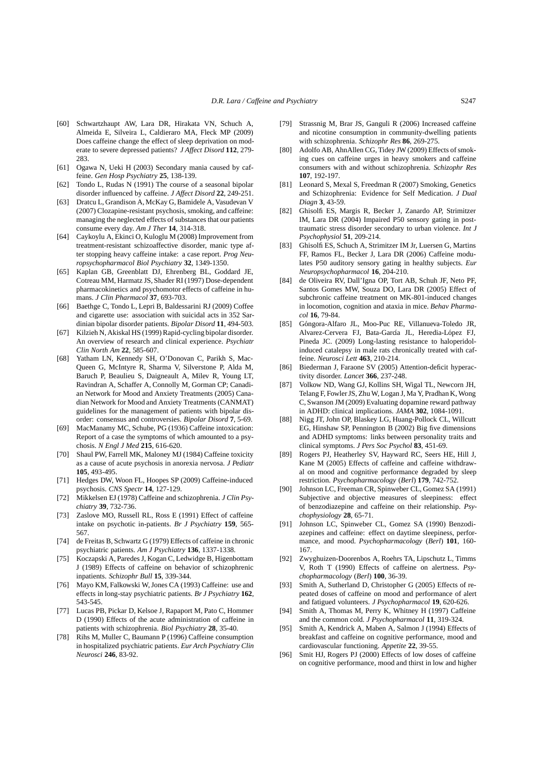- [60] Schwartzhaupt AW, Lara DR, Hirakata VN, Schuch A, Almeida E, Silveira L, Caldieraro MA, Fleck MP (2009) Does caffeine change the effect of sleep deprivation on moderate to severe depressed patients? *J Affect Disord* **112**, 279- 283.
- [61] Ogawa N, Ueki H (2003) Secondary mania caused by caffeine. *Gen Hosp Psychiatry* **25**, 138-139.
- [62] Tondo L, Rudas N (1991) The course of a seasonal bipolar disorder influenced by caffeine. *J Affect Disord* **22**, 249-251.
- [63] Dratcu L, Grandison A, McKay G, Bamidele A, Vasudevan V (2007) Clozapine-resistant psychosis, smoking, and caffeine: managing the neglected effects of substances that our patients consume every day. *Am J Ther* **14**, 314-318.
- [64] Caykoylu A, Ekinci O, Kuloglu M (2008) Improvement from treatment-resistant schizoaffective disorder, manic type after stopping heavy caffeine intake: a case report. *Prog Neuropsychopharmacol Biol Psychiatry* **32**, 1349-1350.
- [65] Kaplan GB, Greenblatt DJ, Ehrenberg BL, Goddard JE, Cotreau MM, Harmatz JS, Shader RI (1997) Dose-dependent pharmacokinetics and psychomotor effects of caffeine in humans. *J Clin Pharmacol* **37**, 693-703.
- [66] Baethge C, Tondo L, Lepri B, Baldessarini RJ (2009) Coffee and cigarette use: association with suicidal acts in 352 Sardinian bipolar disorder patients. *Bipolar Disord* **11**, 494-503.
- [67] Kilzieh N, Akiskal HS (1999) Rapid-cycling bipolar disorder. An overview of research and clinical experience. *Psychiatr Clin North Am* **22**, 585-607.
- [68] Yatham LN, Kennedy SH, O'Donovan C, Parikh S, Mac-Queen G, McIntyre R, Sharma V, Silverstone P, Alda M, Baruch P, Beaulieu S, Daigneault A, Milev R, Young LT, Ravindran A, Schaffer A, Connolly M, Gorman CP; Canadian Network for Mood and Anxiety Treatments (2005) Canadian Network for Mood and Anxiety Treatments (CANMAT) guidelines for the management of patients with bipolar disorder: consensus and controversies. *Bipolar Disord* **7**, 5-69.
- [69] MacManamy MC, Schube, PG (1936) Caffeine intoxication: Report of a case the symptoms of which amounted to a psychosis. *N Engl J Med* **215**, 616-620.
- [70] Shaul PW, Farrell MK, Maloney MJ (1984) Caffeine toxicity as a cause of acute psychosis in anorexia nervosa. *J Pediatr* **105**, 493-495.
- [71] Hedges DW, Woon FL, Hoopes SP (2009) Caffeine-induced psychosis. *CNS Spectr* **14**, 127-129.
- [72] Mikkelsen EJ (1978) Caffeine and schizophrenia. *J Clin Psychiatry* **39**, 732-736.
- [73] Zaslove MO, Russell RL, Ross E (1991) Effect of caffeine intake on psychotic in-patients. *Br J Psychiatry* **159**, 565- 567.
- [74] de Freitas B, Schwartz G (1979) Effects of caffeine in chronic psychiatric patients. *Am J Psychiatry* **136**, 1337-1338.
- [75] Koczapski A, Paredes J, Kogan C, Ledwidge B, Higenbottam J (1989) Effects of caffeine on behavior of schizophrenic inpatients. *Schizophr Bull* **15**, 339-344.
- [76] Mayo KM, Falkowski W, Jones CA (1993) Caffeine: use and effects in long-stay psychiatric patients. *Br J Psychiatry* **162**, 543-545.
- [77] Lucas PB, Pickar D, Kelsoe J, Rapaport M, Pato C, Hommer D (1990) Effects of the acute administration of caffeine in patients with schizophrenia. *Biol Psychiatry* **28**, 35-40.
- [78] Rihs M, Muller C, Baumann P (1996) Caffeine consumption in hospitalized psychiatric patients. *Eur Arch Psychiatry Clin Neurosci* **246**, 83-92.
- [79] Strassnig M, Brar JS, Ganguli R (2006) Increased caffeine and nicotine consumption in community-dwelling patients with schizophrenia. *Schizophr Res* **86**, 269-275.
- [80] Adolfo AB, AhnAllen CG, Tidey JW (2009) Effects of smoking cues on caffeine urges in heavy smokers and caffeine consumers with and without schizophrenia. *Schizophr Res* **107**, 192-197.
- [81] Leonard S, Mexal S, Freedman R (2007) Smoking, Genetics and Schizophrenia: Evidence for Self Medication. *J Dual Diagn* **3**, 43-59.
- [82] Ghisolfi ES, Margis R, Becker J, Zanardo AP, Strimitzer IM, Lara DR (2004) Impaired P50 sensory gating in posttraumatic stress disorder secondary to urban violence. *Int J Psychophysiol* **51**, 209-214.
- [83] Ghisolfi ES, Schuch A, Strimitzer IM Jr, Luersen G, Martins FF, Ramos FL, Becker J, Lara DR (2006) Caffeine modulates P50 auditory sensory gating in healthy subjects. *Eur Neuropsychopharmacol* **16**, 204-210.
- [84] de Oliveira RV, Dall'Igna OP, Tort AB, Schuh JF, Neto PF, Santos Gomes MW, Souza DO, Lara DR (2005) Effect of subchronic caffeine treatment on MK-801-induced changes in locomotion, cognition and ataxia in mice. *Behav Pharmacol* **16**, 79-84.
- [85] Góngora-Alfaro JL, Moo-Puc RE, Villanueva-Toledo JR, Alvarez-Cervera FJ, Bata-García JL, Heredia-López FJ, Pineda JC. (2009) Long-lasting resistance to haloperidolinduced catalepsy in male rats chronically treated with caffeine. *Neurosci Lett* **463**, 210-214.
- [86] Biederman J, Faraone SV (2005) Attention-deficit hyperactivity disorder. *Lancet* **366**, 237-248.
- [87] Volkow ND, Wang GJ, Kollins SH, Wigal TL, Newcorn JH, Telang F, Fowler JS, Zhu W, Logan J, Ma Y, Pradhan K, Wong C, Swanson JM (2009) Evaluating dopamine reward pathway in ADHD: clinical implications. *JAMA* **302**, 1084-1091.
- [88] Nigg JT, John OP, Blaskey LG, Huang-Pollock CL, Willcutt EG, Hinshaw SP, Pennington B (2002) Big five dimensions and ADHD symptoms: links between personality traits and clinical symptoms. *J Pers Soc Psychol* **83**, 451-69.
- [89] Rogers PJ, Heatherley SV, Hayward RC, Seers HE, Hill J, Kane M (2005) Effects of caffeine and caffeine withdrawal on mood and cognitive performance degraded by sleep restriction. *Psychopharmacology* (*Berl*) **179**, 742-752.
- [90] Johnson LC, Freeman CR, Spinweber CL, Gomez SA (1991) Subjective and objective measures of sleepiness: effect of benzodiazepine and caffeine on their relationship. *Psychophysiology* **28**, 65-71.
- [91] Johnson LC, Spinweber CL, Gomez SA (1990) Benzodiazepines and caffeine: effect on daytime sleepiness, performance, and mood. *Psychopharmacology* (*Berl*) **101**, 160- 167.
- [92] Zwyghuizen-Doorenbos A, Roehrs TA, Lipschutz L, Timms V, Roth T (1990) Effects of caffeine on alertness. *Psychopharmacology* (*Berl*) **100**, 36-39.
- [93] Smith A, Sutherland D, Christopher G (2005) Effects of repeated doses of caffeine on mood and performance of alert and fatigued volunteers. *J Psychopharmacol* **19**, 620-626.
- [94] Smith A, Thomas M, Perry K, Whitney H (1997) Caffeine and the common cold. *J Psychopharmacol* **11**, 319-324.
- [95] Smith A, Kendrick A, Maben A, Salmon J (1994) Effects of breakfast and caffeine on cognitive performance, mood and cardiovascular functioning. *Appetite* **22**, 39-55.
- [96] Smit HJ, Rogers PJ (2000) Effects of low doses of caffeine on cognitive performance, mood and thirst in low and higher